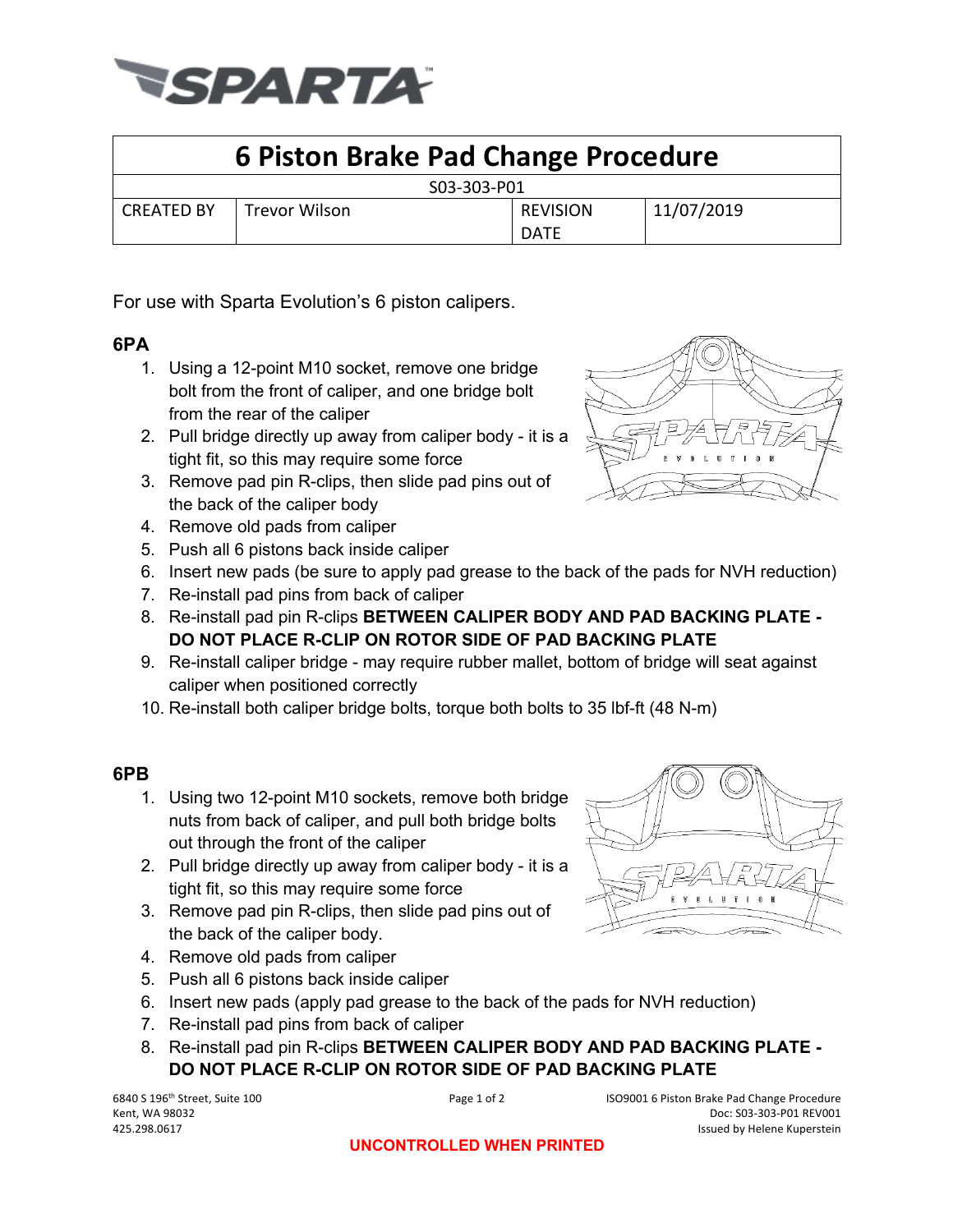

## **6 Piston Brake Pad Change Procedure**

| - - - - - - |               |                 |            |
|-------------|---------------|-----------------|------------|
| CREATED BY  | Trevor Wilson | <b>REVISION</b> | 11/07/2019 |
|             |               | <b>DATE</b>     |            |

For use with Sparta Evolution's 6 piston calipers.

## **6PA**

- 1. Using a 12-point M10 socket, remove one bridge bolt from the front of caliper, and one bridge bolt from the rear of the caliper
- 2. Pull bridge directly up away from caliper body it is a tight fit, so this may require some force
- 3. Remove pad pin R-clips, then slide pad pins out of the back of the caliper body
- 4. Remove old pads from caliper
- 5. Push all 6 pistons back inside caliper
- 6. Insert new pads (be sure to apply pad grease to the back of the pads for NVH reduction)
- 7. Re-install pad pins from back of caliper
- 8. Re-install pad pin R-clips **BETWEEN CALIPER BODY AND PAD BACKING PLATE - DO NOT PLACE R-CLIP ON ROTOR SIDE OF PAD BACKING PLATE**
- 9. Re-install caliper bridge may require rubber mallet, bottom of bridge will seat against caliper when positioned correctly
- 10. Re-install both caliper bridge bolts, torque both bolts to 35 lbf-ft (48 N-m)

## **6PB**

- 1. Using two 12-point M10 sockets, remove both bridge nuts from back of caliper, and pull both bridge bolts out through the front of the caliper
- 2. Pull bridge directly up away from caliper body it is a tight fit, so this may require some force
- 3. Remove pad pin R-clips, then slide pad pins out of the back of the caliper body.
- 4. Remove old pads from caliper
- 5. Push all 6 pistons back inside caliper
- 6. Insert new pads (apply pad grease to the back of the pads for NVH reduction)
- 7. Re-install pad pins from back of caliper
- 8. Re-install pad pin R-clips **BETWEEN CALIPER BODY AND PAD BACKING PLATE - DO NOT PLACE R-CLIP ON ROTOR SIDE OF PAD BACKING PLATE**

6840 S 196th Street, Suite 100 Page 1 of 2 ISO9001 6 Piston Brake Pad Change Procedure Kent, WA 98032 Doc: S03-303-P01 REV001 425.298.0617 Issued by Helene Kuperstein